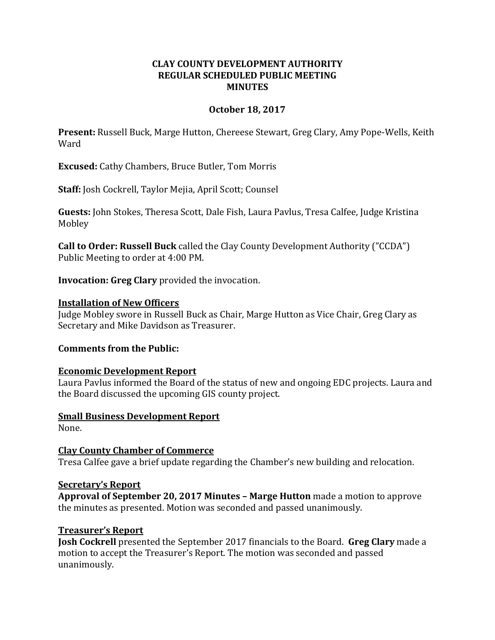## **CLAY COUNTY DEVELOPMENT AUTHORITY REGULAR SCHEDULED PUBLIC MEETING MINUTES**

### **October 18, 2017**

**Present:** Russell Buck, Marge Hutton, Chereese Stewart, Greg Clary, Amy Pope-Wells, Keith Ward

**Excused:** Cathy Chambers, Bruce Butler, Tom Morris

**Staff:** Josh Cockrell, Taylor Mejia, April Scott; Counsel

**Guests:** John Stokes, Theresa Scott, Dale Fish, Laura Pavlus, Tresa Calfee, Judge Kristina Mobley

**Call to Order: Russell Buck** called the Clay County Development Authority ("CCDA") Public Meeting to order at 4:00 PM.

**Invocation: Greg Clary** provided the invocation.

#### **Installation of New Officers**

Judge Mobley swore in Russell Buck as Chair, Marge Hutton as Vice Chair, Greg Clary as Secretary and Mike Davidson as Treasurer.

#### **Comments from the Public:**

## **Economic Development Report**

Laura Pavlus informed the Board of the status of new and ongoing EDC projects. Laura and the Board discussed the upcoming GIS county project.

**Small Business Development Report**

None.

**Clay County Chamber of Commerce** Tresa Calfee gave a brief update regarding the Chamber's new building and relocation.

#### **Secretary's Report**

**Approval of September 20, 2017 Minutes – Marge Hutton** made a motion to approve the minutes as presented. Motion was seconded and passed unanimously.

#### **Treasurer's Report**

**Josh Cockrell** presented the September 2017 financials to the Board. **Greg Clary** made a motion to accept the Treasurer's Report. The motion was seconded and passed unanimously.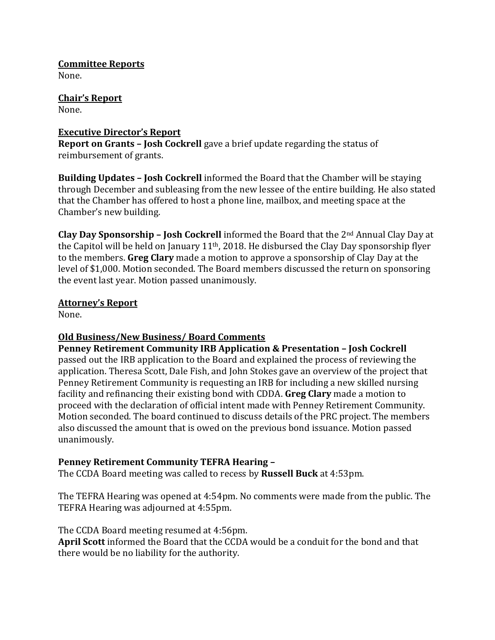**Committee Reports** None.

**Chair's Report** None.

## **Executive Director's Report**

**Report on Grants – Josh Cockrell** gave a brief update regarding the status of reimbursement of grants.

**Building Updates – Josh Cockrell** informed the Board that the Chamber will be staying through December and subleasing from the new lessee of the entire building. He also stated that the Chamber has offered to host a phone line, mailbox, and meeting space at the Chamber's new building.

**Clay Day Sponsorship – Josh Cockrell** informed the Board that the 2nd Annual Clay Day at the Capitol will be held on January 11th, 2018. He disbursed the Clay Day sponsorship flyer to the members. **Greg Clary** made a motion to approve a sponsorship of Clay Day at the level of \$1,000. Motion seconded. The Board members discussed the return on sponsoring the event last year. Motion passed unanimously.

## **Attorney's Report**

None.

# **Old Business/New Business/ Board Comments**

**Penney Retirement Community IRB Application & Presentation – Josh Cockrell**  passed out the IRB application to the Board and explained the process of reviewing the application. Theresa Scott, Dale Fish, and John Stokes gave an overview of the project that Penney Retirement Community is requesting an IRB for including a new skilled nursing facility and refinancing their existing bond with CDDA. **Greg Clary** made a motion to proceed with the declaration of official intent made with Penney Retirement Community. Motion seconded. The board continued to discuss details of the PRC project. The members also discussed the amount that is owed on the previous bond issuance. Motion passed unanimously.

# **Penney Retirement Community TEFRA Hearing –**

The CCDA Board meeting was called to recess by **Russell Buck** at 4:53pm.

The TEFRA Hearing was opened at 4:54pm. No comments were made from the public. The TEFRA Hearing was adjourned at 4:55pm.

The CCDA Board meeting resumed at 4:56pm. **April Scott** informed the Board that the CCDA would be a conduit for the bond and that there would be no liability for the authority.